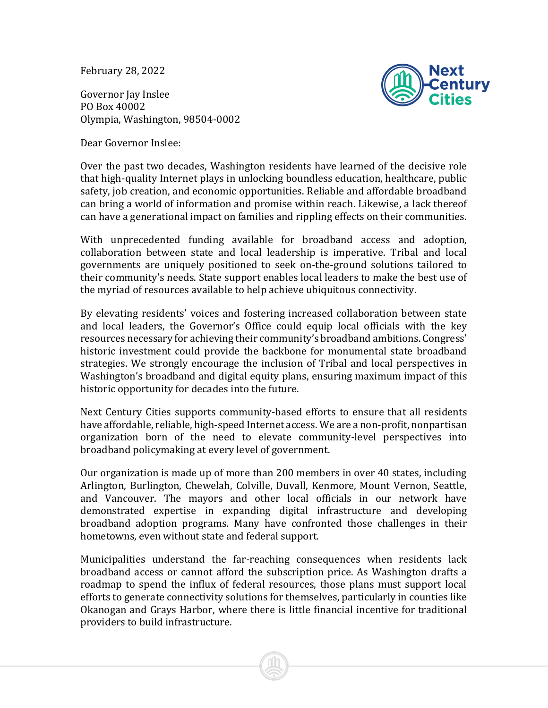February 28, 2022

Governor Jay Inslee PO Box 40002 Olympia, Washington, 98504-0002



Dear Governor Inslee:

Over the past two decades, Washington residents have learned of the decisive role that high-quality Internet plays in unlocking boundless education, healthcare, public safety, job creation, and economic opportunities. Reliable and affordable broadband can bring a world of information and promise within reach. Likewise, a lack thereof can have a generational impact on families and rippling effects on their communities.

With unprecedented funding available for broadband access and adoption, collaboration between state and local leadership is imperative. Tribal and local governments are uniquely positioned to seek on-the-ground solutions tailored to their community's needs. State support enables local leaders to make the best use of the myriad of resources available to help achieve ubiquitous connectivity.

By elevating residents' voices and fostering increased collaboration between state and local leaders, the Governor's Office could equip local officials with the key resources necessary for achieving their community's broadband ambitions. Congress' historic investment could provide the backbone for monumental state broadband strategies. We strongly encourage the inclusion of Tribal and local perspectives in Washington's broadband and digital equity plans, ensuring maximum impact of this historic opportunity for decades into the future.

Next Century Cities supports community-based efforts to ensure that all residents have affordable, reliable, high-speed Internet access. We are a non-profit, nonpartisan organization born of the need to elevate community-level perspectives into broadband policymaking at every level of government.

Our organization is made up of more than 200 members in over 40 states, including Arlington, Burlington, Chewelah, Colville, Duvall, Kenmore, Mount Vernon, Seattle, and Vancouver. The mayors and other local officials in our network have demonstrated expertise in expanding digital infrastructure and developing broadband adoption programs. Many have confronted those challenges in their hometowns, even without state and federal support.

Municipalities understand the far-reaching consequences when residents lack broadband access or cannot afford the subscription price. As Washington drafts a roadmap to spend the influx of federal resources, those plans must support local efforts to generate connectivity solutions for themselves, particularly in counties like Okanogan and Grays Harbor, where there is little financial incentive for traditional providers to build infrastructure.